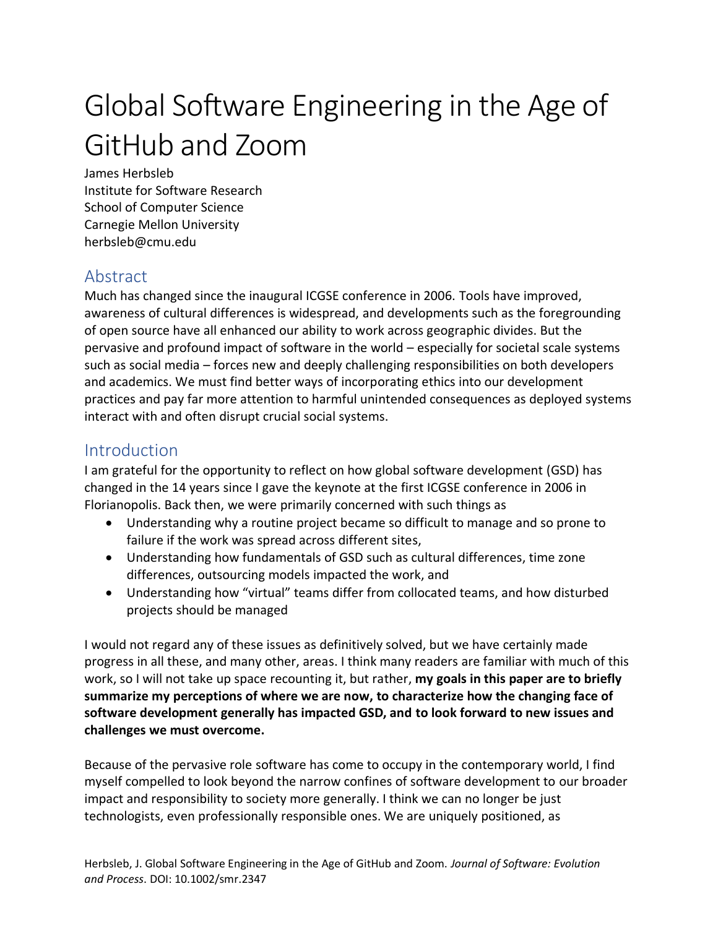# Global Software Engineering in the Age of GitHub and Zoom

James Herbsleb Institute for Software Research School of Computer Science Carnegie Mellon University herbsleb@cmu.edu

### Abstract

Much has changed since the inaugural ICGSE conference in 2006. Tools have improved, awareness of cultural differences is widespread, and developments such as the foregrounding of open source have all enhanced our ability to work across geographic divides. But the pervasive and profound impact of software in the world – especially for societal scale systems such as social media – forces new and deeply challenging responsibilities on both developers and academics. We must find better ways of incorporating ethics into our development practices and pay far more attention to harmful unintended consequences as deployed systems interact with and often disrupt crucial social systems.

#### Introduction

I am grateful for the opportunity to reflect on how global software development (GSD) has changed in the 14 years since I gave the keynote at the first ICGSE conference in 2006 in Florianopolis. Back then, we were primarily concerned with such things as

- Understanding why a routine project became so difficult to manage and so prone to failure if the work was spread across different sites,
- Understanding how fundamentals of GSD such as cultural differences, time zone differences, outsourcing models impacted the work, and
- Understanding how "virtual" teams differ from collocated teams, and how disturbed projects should be managed

I would not regard any of these issues as definitively solved, but we have certainly made progress in all these, and many other, areas. I think many readers are familiar with much of this work, so I will not take up space recounting it, but rather, **my goals in this paper are to briefly summarize my perceptions of where we are now, to characterize how the changing face of software development generally has impacted GSD, and to look forward to new issues and challenges we must overcome.**

Because of the pervasive role software has come to occupy in the contemporary world, I find myself compelled to look beyond the narrow confines of software development to our broader impact and responsibility to society more generally. I think we can no longer be just technologists, even professionally responsible ones. We are uniquely positioned, as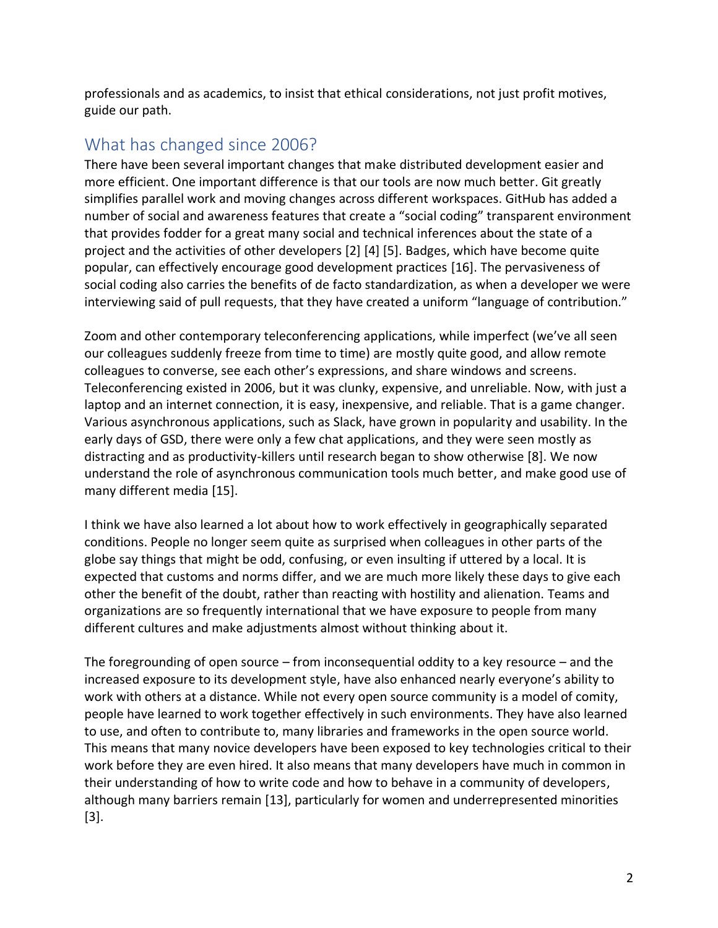professionals and as academics, to insist that ethical considerations, not just profit motives, guide our path.

## What has changed since 2006?

There have been several important changes that make distributed development easier and more efficient. One important difference is that our tools are now much better. Git greatly simplifies parallel work and moving changes across different workspaces. GitHub has added a number of social and awareness features that create a "social coding" transparent environment that provides fodder for a great many social and technical inferences about the state of a project and the activities of other developers [\[2\]](#page-6-0) [\[4\]](#page-7-0) [\[5\].](#page-7-1) Badges, which have become quite popular, can effectively encourage good development practices [\[16\].](#page-7-2) The pervasiveness of social coding also carries the benefits of de facto standardization, as when a developer we were interviewing said of pull requests, that they have created a uniform "language of contribution."

Zoom and other contemporary teleconferencing applications, while imperfect (we've all seen our colleagues suddenly freeze from time to time) are mostly quite good, and allow remote colleagues to converse, see each other's expressions, and share windows and screens. Teleconferencing existed in 2006, but it was clunky, expensive, and unreliable. Now, with just a laptop and an internet connection, it is easy, inexpensive, and reliable. That is a game changer. Various asynchronous applications, such as Slack, have grown in popularity and usability. In the early days of GSD, there were only a few chat applications, and they were seen mostly as distracting and as productivity-killers until research began to show otherwise [\[8\].](#page-7-3) We now understand the role of asynchronous communication tools much better, and make good use of many different media [\[15\].](#page-7-4)

I think we have also learned a lot about how to work effectively in geographically separated conditions. People no longer seem quite as surprised when colleagues in other parts of the globe say things that might be odd, confusing, or even insulting if uttered by a local. It is expected that customs and norms differ, and we are much more likely these days to give each other the benefit of the doubt, rather than reacting with hostility and alienation. Teams and organizations are so frequently international that we have exposure to people from many different cultures and make adjustments almost without thinking about it.

The foregrounding of open source – from inconsequential oddity to a key resource – and the increased exposure to its development style, have also enhanced nearly everyone's ability to work with others at a distance. While not every open source community is a model of comity, people have learned to work together effectively in such environments. They have also learned to use, and often to contribute to, many libraries and frameworks in the open source world. This means that many novice developers have been exposed to key technologies critical to their work before they are even hired. It also means that many developers have much in common in their understanding of how to write code and how to behave in a community of developers, although many barriers remain [\[13\],](#page-7-5) particularly for women and underrepresented minorities [\[3\].](#page-6-1)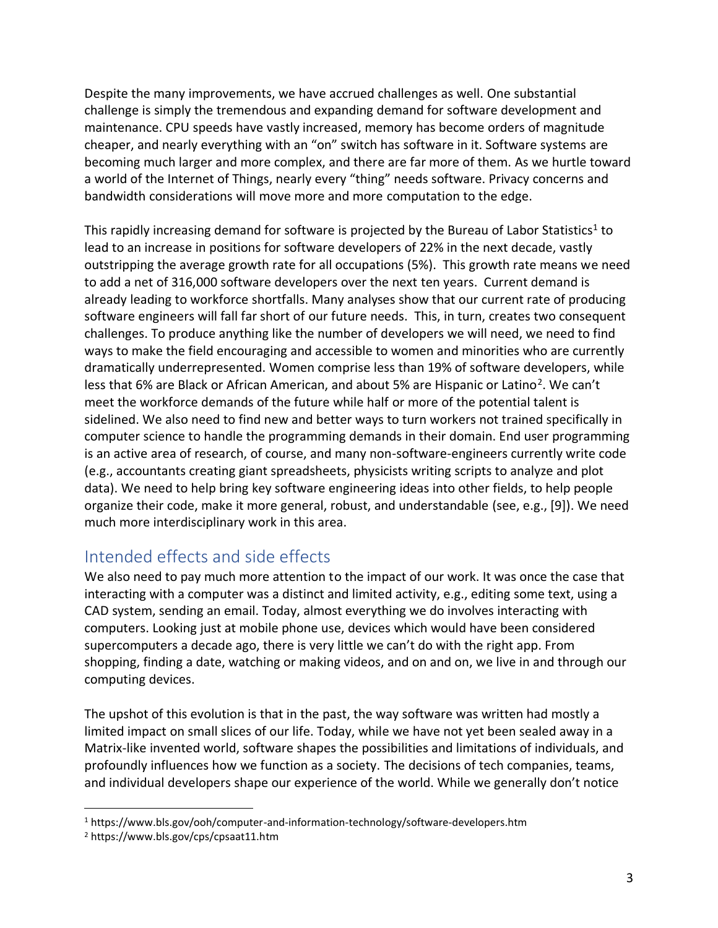Despite the many improvements, we have accrued challenges as well. One substantial challenge is simply the tremendous and expanding demand for software development and maintenance. CPU speeds have vastly increased, memory has become orders of magnitude cheaper, and nearly everything with an "on" switch has software in it. Software systems are becoming much larger and more complex, and there are far more of them. As we hurtle toward a world of the Internet of Things, nearly every "thing" needs software. Privacy concerns and bandwidth considerations will move more and more computation to the edge.

This rapidly increasing demand for software is projected by the Bureau of Labor Statistics<sup>1</sup> to lead to an increase in positions for software developers of 22% in the next decade, vastly outstripping the average growth rate for all occupations (5%). This growth rate means we need to add a net of 316,000 software developers over the next ten years. Current demand is already leading to workforce shortfalls. Many analyses show that our current rate of producing software engineers will fall far short of our future needs. This, in turn, creates two consequent challenges. To produce anything like the number of developers we will need, we need to find ways to make the field encouraging and accessible to women and minorities who are currently dramatically underrepresented. Women comprise less than 19% of software developers, while less that 6% are Black or African American, and about 5% are Hispanic or Latino<sup>2</sup>. We can't meet the workforce demands of the future while half or more of the potential talent is sidelined. We also need to find new and better ways to turn workers not trained specifically in computer science to handle the programming demands in their domain. End user programming is an active area of research, of course, and many non-software-engineers currently write code (e.g., accountants creating giant spreadsheets, physicists writing scripts to analyze and plot data). We need to help bring key software engineering ideas into other fields, to help people organize their code, make it more general, robust, and understandable (see, e.g., [\[9\]\)](#page-7-6). We need much more interdisciplinary work in this area.

### Intended effects and side effects

We also need to pay much more attention to the impact of our work. It was once the case that interacting with a computer was a distinct and limited activity, e.g., editing some text, using a CAD system, sending an email. Today, almost everything we do involves interacting with computers. Looking just at mobile phone use, devices which would have been considered supercomputers a decade ago, there is very little we can't do with the right app. From shopping, finding a date, watching or making videos, and on and on, we live in and through our computing devices.

The upshot of this evolution is that in the past, the way software was written had mostly a limited impact on small slices of our life. Today, while we have not yet been sealed away in a Matrix-like invented world, software shapes the possibilities and limitations of individuals, and profoundly influences how we function as a society. The decisions of tech companies, teams, and individual developers shape our experience of the world. While we generally don't notice

<sup>1</sup> https://www.bls.gov/ooh/computer-and-information-technology/software-developers.htm

<sup>2</sup> https://www.bls.gov/cps/cpsaat11.htm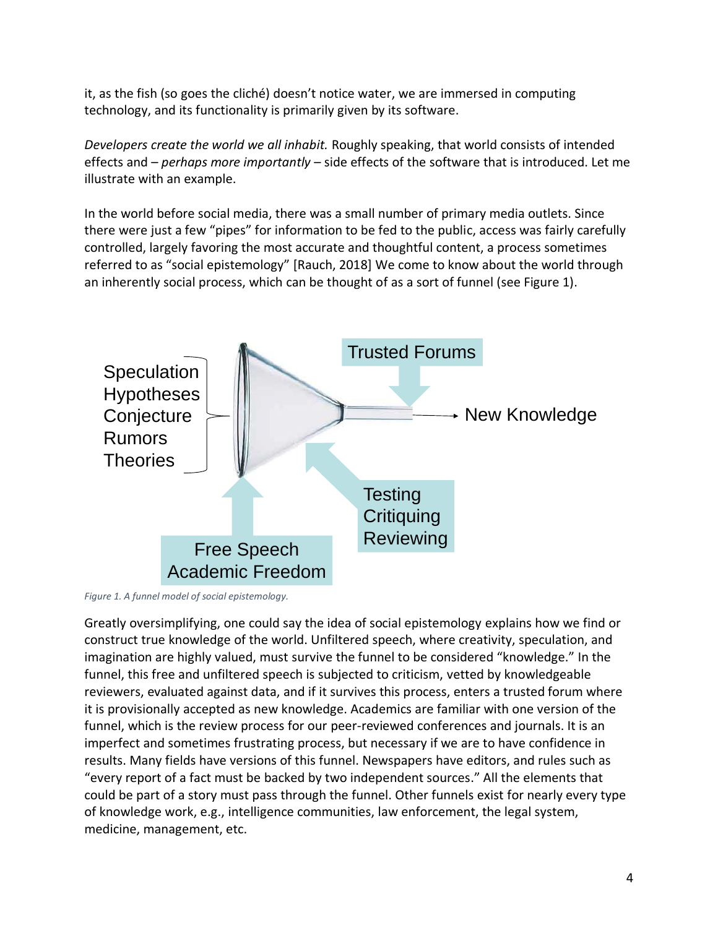it, as the fish (so goes the cliché) doesn't notice water, we are immersed in computing technology, and its functionality is primarily given by its software.

*Developers create the world we all inhabit.* Roughly speaking, that world consists of intended effects and – *perhaps more importantly* – side effects of the software that is introduced. Let me illustrate with an example.

In the world before social media, there was a small number of primary media outlets. Since there were just a few "pipes" for information to be fed to the public, access was fairly carefully controlled, largely favoring the most accurate and thoughtful content, a process sometimes referred to as "social epistemology" [Rauch, 2018] We come to know about the world through an inherently social process, which can be thought of as a sort of funnel (see Figure 1). Knowledge creation is a social process.



*Figure 1. A funnel model of social epistemology.* 

Greatly oversimplifying, one could say the idea of social epistemology explains how we find or 16 construct true knowledge of the world. Unfiltered speech, where creativity, speculation, and imagination are highly valued, must survive the funnel to be considered "knowledge." In the funnel, this free and unfiltered speech is subjected to criticism, vetted by knowledgeable reviewers, evaluated against data, and if it survives this process, enters a trusted forum where it is provisionally accepted as new knowledge. Academics are familiar with one version of the funnel, which is the review process for our peer-reviewed conferences and journals. It is an imperfect and sometimes frustrating process, but necessary if we are to have confidence in results. Many fields have versions of this funnel. Newspapers have editors, and rules such as "every report of a fact must be backed by two independent sources." All the elements that could be part of a story must pass through the funnel. Other funnels exist for nearly every type of knowledge work, e.g., intelligence communities, law enforcement, the legal system, medicine, management, etc.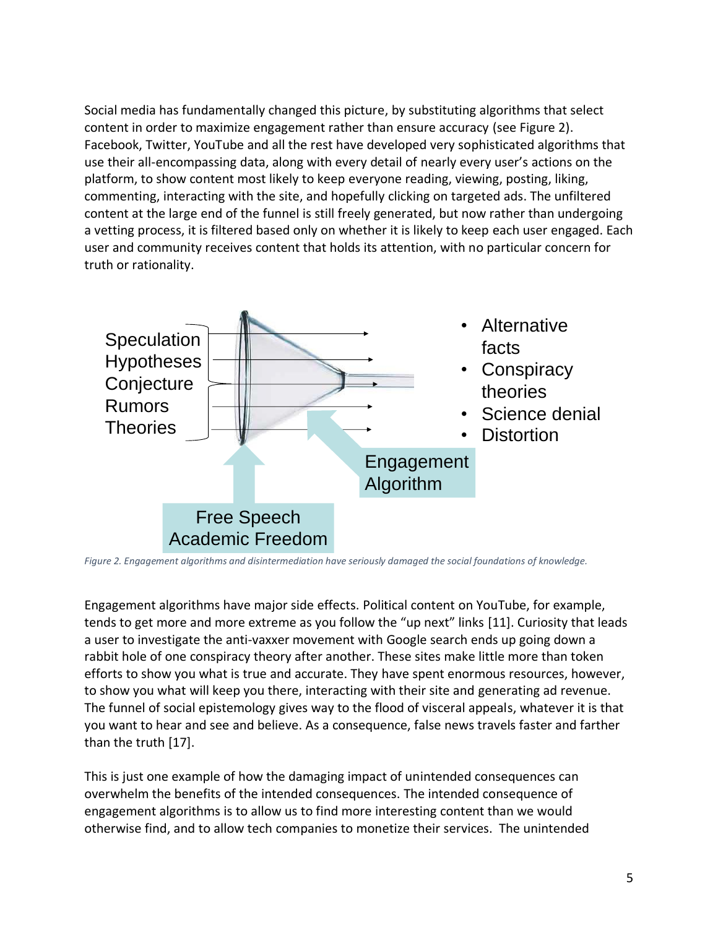Social media has fundamentally changed this picture, by substituting algorithms that select content in order to maximize engagement rather than ensure accuracy (see Figure 2). Facebook, Twitter, YouTube and all the rest have developed very sophisticated algorithms that use their all-encompassing data, along with every detail of nearly every user's actions on the platform, to show content most likely to keep everyone reading, viewing, posting, liking, commenting, interacting with the site, and hopefully clicking on targeted ads. The unfiltered content at the large end of the funnel is still freely generated, but now rather than undergoing a vetting process, it is filtered based only on whether it is likely to keep each user engaged. Each user and community receives content that holds its attention, with no particular concern for<br>truth or rationality. truth or rationality.



*Figure 2. Engagement algorithms and disintermediation have seriously damaged the social foundations of knowledge.*

Engagement algorithms have major side effects. Political content on YouTube, for example, tends to get more and more extreme as you follow the "up next" links [\[11\].](#page-7-7) Curiosity that leads a user to investigate the anti-vaxxer movement with Google search ends up going down a rabbit hole of one conspiracy theory after another. These sites make little more than token efforts to show you what is true and accurate. They have spent enormous resources, however, to show you what will keep you there, interacting with their site and generating ad revenue. The funnel of social epistemology gives way to the flood of visceral appeals, whatever it is that you want to hear and see and believe. As a consequence, false news travels faster and farther than the truth [\[17\].](#page-7-8)

This is just one example of how the damaging impact of unintended consequences can overwhelm the benefits of the intended consequences. The intended consequence of engagement algorithms is to allow us to find more interesting content than we would otherwise find, and to allow tech companies to monetize their services. The unintended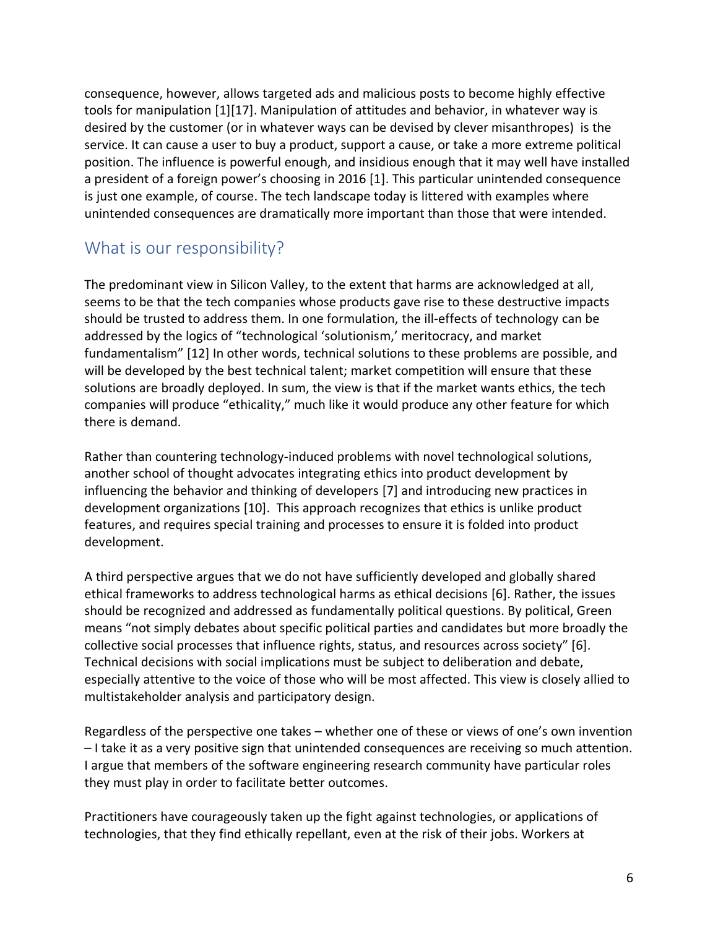consequence, however, allows targeted ads and malicious posts to become highly effective tools for manipulation [\[1\]](#page-6-2)[\[17\].](#page-7-9) Manipulation of attitudes and behavior, in whatever way is desired by the customer (or in whatever ways can be devised by clever misanthropes) is the service. It can cause a user to buy a product, support a cause, or take a more extreme political position. The influence is powerful enough, and insidious enough that it may well have installed a president of a foreign power's choosing in 2016 [\[1\].](#page-6-2) This particular unintended consequence is just one example, of course. The tech landscape today is littered with examples where unintended consequences are dramatically more important than those that were intended.

#### What is our responsibility?

The predominant view in Silicon Valley, to the extent that harms are acknowledged at all, seems to be that the tech companies whose products gave rise to these destructive impacts should be trusted to address them. In one formulation, the ill-effects of technology can be addressed by the logics of "technological 'solutionism,' meritocracy, and market fundamentalism" [\[12\]](#page-7-10) In other words, technical solutions to these problems are possible, and will be developed by the best technical talent; market competition will ensure that these solutions are broadly deployed. In sum, the view is that if the market wants ethics, the tech companies will produce "ethicality," much like it would produce any other feature for which there is demand.

Rather than countering technology-induced problems with novel technological solutions, another school of thought advocates integrating ethics into product development by influencing the behavior and thinking of developers [\[7\]](#page-7-11) and introducing new practices in development organizations [\[10\].](#page-7-12) This approach recognizes that ethics is unlike product features, and requires special training and processes to ensure it is folded into product development.

A third perspective argues that we do not have sufficiently developed and globally shared ethical frameworks to address technological harms as ethical decisions [\[6\].](#page-7-13) Rather, the issues should be recognized and addressed as fundamentally political questions. By political, Green means "not simply debates about specific political parties and candidates but more broadly the collective social processes that influence rights, status, and resources across society" [\[6\].](#page-7-13) Technical decisions with social implications must be subject to deliberation and debate, especially attentive to the voice of those who will be most affected. This view is closely allied to multistakeholder analysis and participatory design.

Regardless of the perspective one takes – whether one of these or views of one's own invention – I take it as a very positive sign that unintended consequences are receiving so much attention. I argue that members of the software engineering research community have particular roles they must play in order to facilitate better outcomes.

Practitioners have courageously taken up the fight against technologies, or applications of technologies, that they find ethically repellant, even at the risk of their jobs. Workers at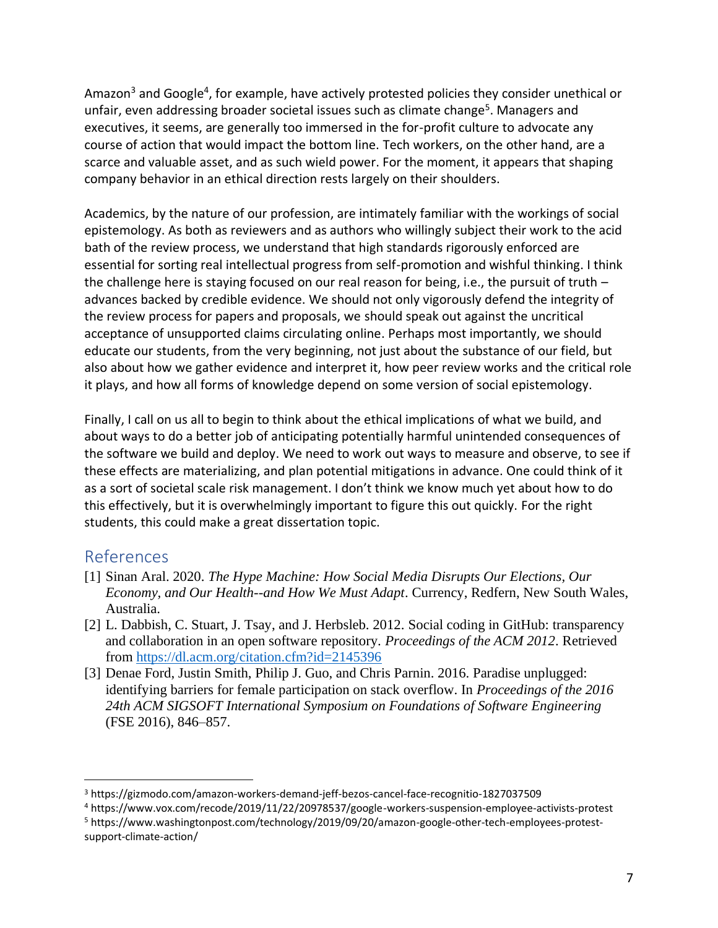Amazon<sup>3</sup> and Google<sup>4</sup>, for example, have actively protested policies they consider unethical or unfair, even addressing broader societal issues such as climate change<sup>5</sup>. Managers and executives, it seems, are generally too immersed in the for-profit culture to advocate any course of action that would impact the bottom line. Tech workers, on the other hand, are a scarce and valuable asset, and as such wield power. For the moment, it appears that shaping company behavior in an ethical direction rests largely on their shoulders.

Academics, by the nature of our profession, are intimately familiar with the workings of social epistemology. As both as reviewers and as authors who willingly subject their work to the acid bath of the review process, we understand that high standards rigorously enforced are essential for sorting real intellectual progress from self-promotion and wishful thinking. I think the challenge here is staying focused on our real reason for being, i.e., the pursuit of truth – advances backed by credible evidence. We should not only vigorously defend the integrity of the review process for papers and proposals, we should speak out against the uncritical acceptance of unsupported claims circulating online. Perhaps most importantly, we should educate our students, from the very beginning, not just about the substance of our field, but also about how we gather evidence and interpret it, how peer review works and the critical role it plays, and how all forms of knowledge depend on some version of social epistemology.

Finally, I call on us all to begin to think about the ethical implications of what we build, and about ways to do a better job of anticipating potentially harmful unintended consequences of the software we build and deploy. We need to work out ways to measure and observe, to see if these effects are materializing, and plan potential mitigations in advance. One could think of it as a sort of societal scale risk management. I don't think we know much yet about how to do this effectively, but it is overwhelmingly important to figure this out quickly. For the right students, this could make a great dissertation topic.

#### References

- <span id="page-6-2"></span>[1] Sinan Aral. 2020. *The Hype Machine: How Social Media Disrupts Our Elections, Our Economy, and Our Health--and How We Must Adapt*. Currency, Redfern, New South Wales, Australia.
- <span id="page-6-0"></span>[2] L. Dabbish, C. Stuart, J. Tsay, and J. Herbsleb. 2012. Social coding in GitHub: transparency and collaboration in an open software repository. *Proceedings of the ACM 2012*. Retrieved from<https://dl.acm.org/citation.cfm?id=2145396>
- <span id="page-6-1"></span>[3] Denae Ford, Justin Smith, Philip J. Guo, and Chris Parnin. 2016. Paradise unplugged: identifying barriers for female participation on stack overflow. In *Proceedings of the 2016 24th ACM SIGSOFT International Symposium on Foundations of Software Engineering* (FSE 2016), 846–857.

<sup>3</sup> https://gizmodo.com/amazon-workers-demand-jeff-bezos-cancel-face-recognitio-1827037509

<sup>4</sup> https://www.vox.com/recode/2019/11/22/20978537/google-workers-suspension-employee-activists-protest

<sup>5</sup> https://www.washingtonpost.com/technology/2019/09/20/amazon-google-other-tech-employees-protestsupport-climate-action/